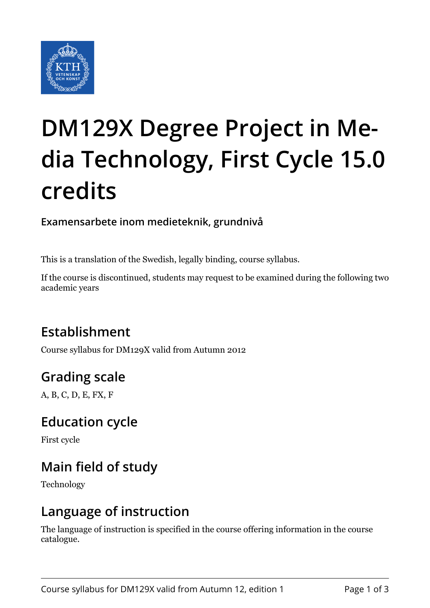

# **DM129X Degree Project in Media Technology, First Cycle 15.0 credits**

**Examensarbete inom medieteknik, grundnivå**

This is a translation of the Swedish, legally binding, course syllabus.

If the course is discontinued, students may request to be examined during the following two academic years

# **Establishment**

Course syllabus for DM129X valid from Autumn 2012

# **Grading scale**

A, B, C, D, E, FX, F

#### **Education cycle**

First cycle

# **Main field of study**

Technology

#### **Language of instruction**

The language of instruction is specified in the course offering information in the course catalogue.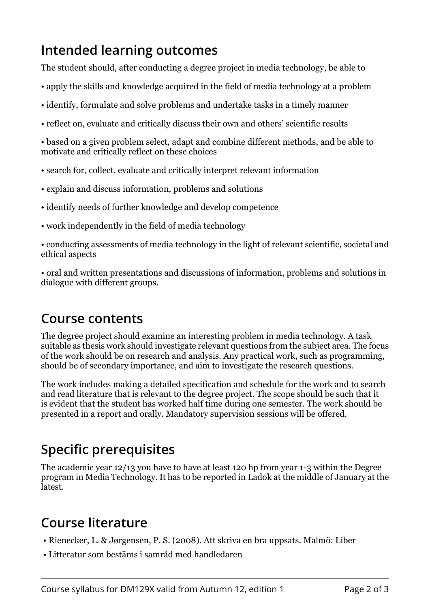#### **Intended learning outcomes**

The student should, after conducting a degree project in media technology, be able to

- apply the skills and knowledge acquired in the field of media technology at a problem
- identify, formulate and solve problems and undertake tasks in a timely manner
- reflect on, evaluate and critically discuss their own and others' scientific results

• based on a given problem select, adapt and combine different methods, and be able to motivate and critically reflect on these choices

- search for, collect, evaluate and critically interpret relevant information
- explain and discuss information, problems and solutions
- identify needs of further knowledge and develop competence
- work independently in the field of media technology
- conducting assessments of media technology in the light of relevant scientific, societal and ethical aspects

• oral and written presentations and discussions of information, problems and solutions in dialogue with different groups.

#### **Course contents**

The degree project should examine an interesting problem in media technology. A task suitable as thesis work should investigate relevant questions from the subject area. The focus of the work should be on research and analysis. Any practical work, such as programming, should be of secondary importance, and aim to investigate the research questions.

The work includes making a detailed specification and schedule for the work and to search and read literature that is relevant to the degree project. The scope should be such that it is evident that the student has worked half time during one semester. The work should be presented in a report and orally. Mandatory supervision sessions will be offered.

# **Specific prerequisites**

The academic year 12/13 you have to have at least 120 hp from year 1-3 within the Degree program in Media Technology. It has to be reported in Ladok at the middle of January at the latest.

#### **Course literature**

- Rienecker, L. & Jørgensen, P. S. (2008). Att skriva en bra uppsats. Malmö: Liber
- Litteratur som bestäms i samråd med handledaren